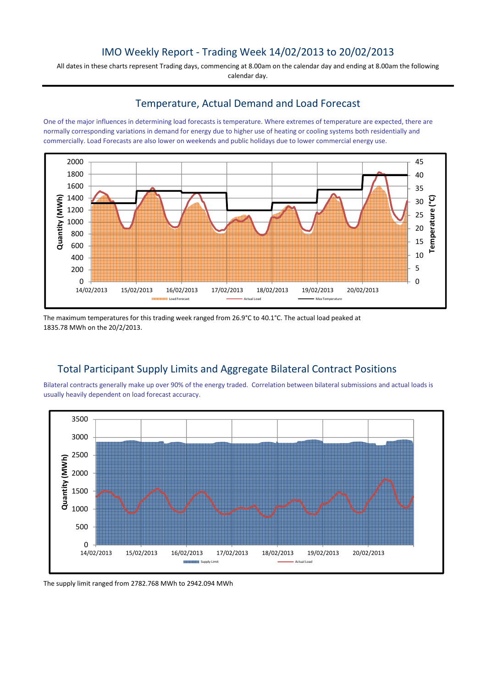# IMO Weekly Report - Trading Week 14/02/2013 to 20/02/2013

All dates in these charts represent Trading days, commencing at 8.00am on the calendar day and ending at 8.00am the following calendar day.

#### Temperature, Actual Demand and Load Forecast

One of the major influences in determining load forecasts is temperature. Where extremes of temperature are expected, there are normally corresponding variations in demand for energy due to higher use of heating or cooling systems both residentially and commercially. Load Forecasts are also lower on weekends and public holidays due to lower commercial energy use.



The maximum temperatures for this trading week ranged from 26.9°C to 40.1°C. The actual load peaked at 1835.78 MWh on the 20/2/2013.

## Total Participant Supply Limits and Aggregate Bilateral Contract Positions

Bilateral contracts generally make up over 90% of the energy traded. Correlation between bilateral submissions and actual loads is usually heavily dependent on load forecast accuracy.



The supply limit ranged from 2782.768 MWh to 2942.094 MWh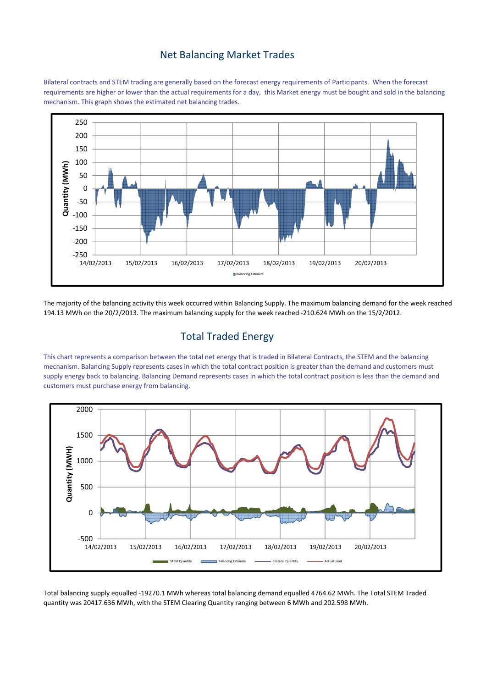#### Net Balancing Market Trades

Bilateral contracts and STEM trading are generally based on the forecast energy requirements of Participants. When the forecast requirements are higher or lower than the actual requirements for a day, this Market energy must be bought and sold in the balancing mechanism. This graph shows the estimated net balancing trades.



The majority of the balancing activity this week occurred within Balancing Supply. The maximum balancing demand for the week reached 194.13 MWh on the 20/2/2013. The maximum balancing supply for the week reached -210.624 MWh on the 15/2/2012.

## Total Traded Energy

This chart represents a comparison between the total net energy that is traded in Bilateral Contracts, the STEM and the balancing mechanism. Balancing Supply represents cases in which the total contract position is greater than the demand and customers must supply energy back to balancing. Balancing Demand represents cases in which the total contract position is less than the demand and customers must purchase energy from balancing.



Total balancing supply equalled -19270.1 MWh whereas total balancing demand equalled 4764.62 MWh. The Total STEM Traded quantity was 20417.636 MWh, with the STEM Clearing Quantity ranging between 6 MWh and 202.598 MWh.